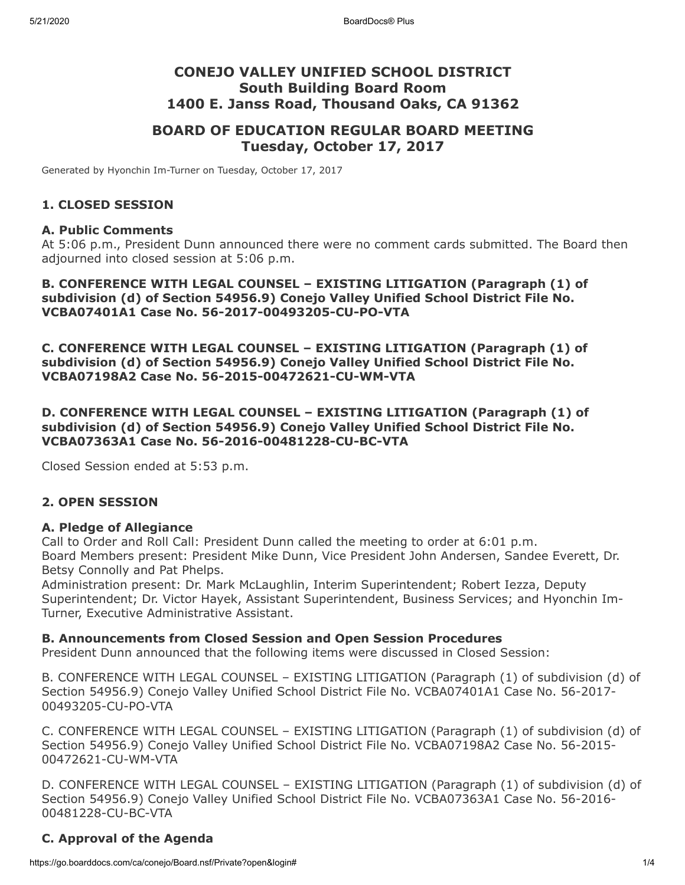# **CONEJO VALLEY UNIFIED SCHOOL DISTRICT South Building Board Room 1400 E. Janss Road, Thousand Oaks, CA 91362**

# **BOARD OF EDUCATION REGULAR BOARD MEETING Tuesday, October 17, 2017**

Generated by Hyonchin Im-Turner on Tuesday, October 17, 2017

#### **1. CLOSED SESSION**

#### **A. Public Comments**

At 5:06 p.m., President Dunn announced there were no comment cards submitted. The Board then adjourned into closed session at 5:06 p.m.

#### **B. CONFERENCE WITH LEGAL COUNSEL – EXISTING LITIGATION (Paragraph (1) of subdivision (d) of Section 54956.9) Conejo Valley Unified School District File No. VCBA07401A1 Case No. 56-2017-00493205-CU-PO-VTA**

**C. CONFERENCE WITH LEGAL COUNSEL – EXISTING LITIGATION (Paragraph (1) of subdivision (d) of Section 54956.9) Conejo Valley Unified School District File No. VCBA07198A2 Case No. 56-2015-00472621-CU-WM-VTA**

**D. CONFERENCE WITH LEGAL COUNSEL – EXISTING LITIGATION (Paragraph (1) of subdivision (d) of Section 54956.9) Conejo Valley Unified School District File No. VCBA07363A1 Case No. 56-2016-00481228-CU-BC-VTA**

Closed Session ended at 5:53 p.m.

#### **2. OPEN SESSION**

#### **A. Pledge of Allegiance**

Call to Order and Roll Call: President Dunn called the meeting to order at 6:01 p.m. Board Members present: President Mike Dunn, Vice President John Andersen, Sandee Everett, Dr. Betsy Connolly and Pat Phelps.

Administration present: Dr. Mark McLaughlin, Interim Superintendent; Robert Iezza, Deputy Superintendent; Dr. Victor Hayek, Assistant Superintendent, Business Services; and Hyonchin Im-Turner, Executive Administrative Assistant.

#### **B. Announcements from Closed Session and Open Session Procedures**

President Dunn announced that the following items were discussed in Closed Session:

B. CONFERENCE WITH LEGAL COUNSEL – EXISTING LITIGATION (Paragraph (1) of subdivision (d) of Section 54956.9) Conejo Valley Unified School District File No. VCBA07401A1 Case No. 56-2017- 00493205-CU-PO-VTA

C. CONFERENCE WITH LEGAL COUNSEL – EXISTING LITIGATION (Paragraph (1) of subdivision (d) of Section 54956.9) Conejo Valley Unified School District File No. VCBA07198A2 Case No. 56-2015- 00472621-CU-WM-VTA

D. CONFERENCE WITH LEGAL COUNSEL – EXISTING LITIGATION (Paragraph (1) of subdivision (d) of Section 54956.9) Conejo Valley Unified School District File No. VCBA07363A1 Case No. 56-2016- 00481228-CU-BC-VTA

#### **C. Approval of the Agenda**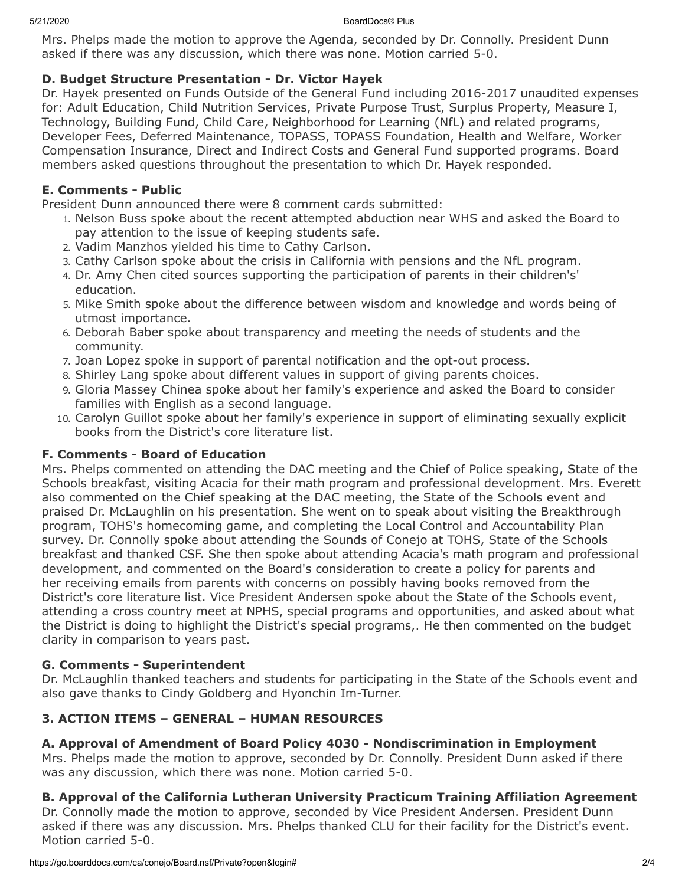5/21/2020 BoardDocs® Plus

Mrs. Phelps made the motion to approve the Agenda, seconded by Dr. Connolly. President Dunn asked if there was any discussion, which there was none. Motion carried 5-0.

# **D. Budget Structure Presentation - Dr. Victor Hayek**

Dr. Hayek presented on Funds Outside of the General Fund including 2016-2017 unaudited expenses for: Adult Education, Child Nutrition Services, Private Purpose Trust, Surplus Property, Measure I, Technology, Building Fund, Child Care, Neighborhood for Learning (NfL) and related programs, Developer Fees, Deferred Maintenance, TOPASS, TOPASS Foundation, Health and Welfare, Worker Compensation Insurance, Direct and Indirect Costs and General Fund supported programs. Board members asked questions throughout the presentation to which Dr. Hayek responded.

# **E. Comments - Public**

President Dunn announced there were 8 comment cards submitted:

- 1. Nelson Buss spoke about the recent attempted abduction near WHS and asked the Board to pay attention to the issue of keeping students safe.
- 2. Vadim Manzhos yielded his time to Cathy Carlson.
- 3. Cathy Carlson spoke about the crisis in California with pensions and the NfL program.
- 4. Dr. Amy Chen cited sources supporting the participation of parents in their children's' education.
- 5. Mike Smith spoke about the difference between wisdom and knowledge and words being of utmost importance.
- 6. Deborah Baber spoke about transparency and meeting the needs of students and the community.
- 7. Joan Lopez spoke in support of parental notification and the opt-out process.
- 8. Shirley Lang spoke about different values in support of giving parents choices.
- 9. Gloria Massey Chinea spoke about her family's experience and asked the Board to consider families with English as a second language.
- 10. Carolyn Guillot spoke about her family's experience in support of eliminating sexually explicit books from the District's core literature list.

# **F. Comments - Board of Education**

Mrs. Phelps commented on attending the DAC meeting and the Chief of Police speaking, State of the Schools breakfast, visiting Acacia for their math program and professional development. Mrs. Everett also commented on the Chief speaking at the DAC meeting, the State of the Schools event and praised Dr. McLaughlin on his presentation. She went on to speak about visiting the Breakthrough program, TOHS's homecoming game, and completing the Local Control and Accountability Plan survey. Dr. Connolly spoke about attending the Sounds of Conejo at TOHS, State of the Schools breakfast and thanked CSF. She then spoke about attending Acacia's math program and professional development, and commented on the Board's consideration to create a policy for parents and her receiving emails from parents with concerns on possibly having books removed from the District's core literature list. Vice President Andersen spoke about the State of the Schools event, attending a cross country meet at NPHS, special programs and opportunities, and asked about what the District is doing to highlight the District's special programs,. He then commented on the budget clarity in comparison to years past.

# **G. Comments - Superintendent**

Dr. McLaughlin thanked teachers and students for participating in the State of the Schools event and also gave thanks to Cindy Goldberg and Hyonchin Im-Turner.

# **3. ACTION ITEMS – GENERAL – HUMAN RESOURCES**

# **A. Approval of Amendment of Board Policy 4030 - Nondiscrimination in Employment**

Mrs. Phelps made the motion to approve, seconded by Dr. Connolly. President Dunn asked if there was any discussion, which there was none. Motion carried 5-0.

# **B. Approval of the California Lutheran University Practicum Training Affiliation Agreement**

Dr. Connolly made the motion to approve, seconded by Vice President Andersen. President Dunn asked if there was any discussion. Mrs. Phelps thanked CLU for their facility for the District's event. Motion carried 5-0.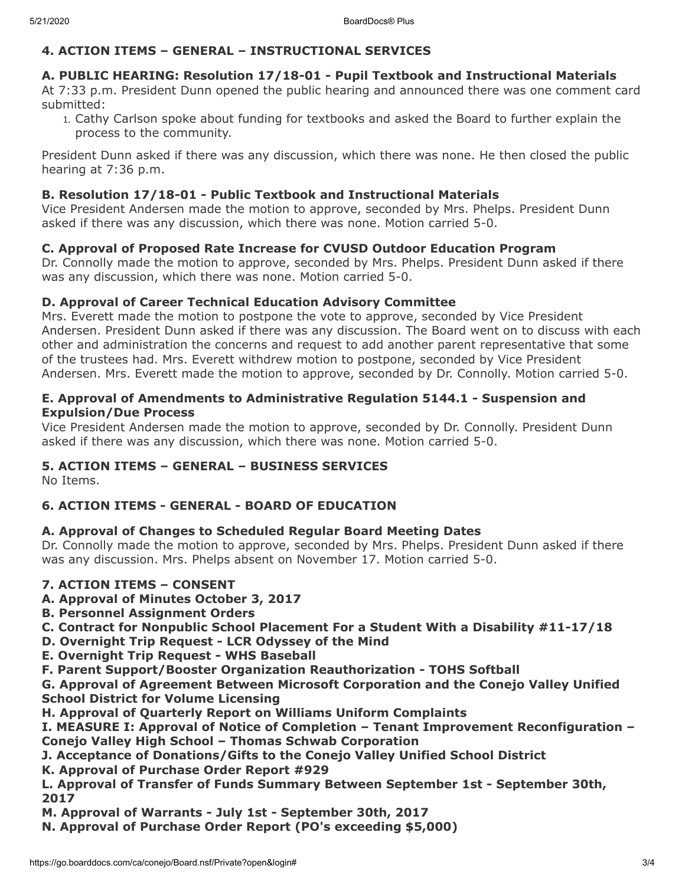# **4. ACTION ITEMS – GENERAL – INSTRUCTIONAL SERVICES**

# **A. PUBLIC HEARING: Resolution 17/18-01 - Pupil Textbook and Instructional Materials**

At 7:33 p.m. President Dunn opened the public hearing and announced there was one comment card submitted:

1. Cathy Carlson spoke about funding for textbooks and asked the Board to further explain the process to the community.

President Dunn asked if there was any discussion, which there was none. He then closed the public hearing at 7:36 p.m.

#### **B. Resolution 17/18-01 - Public Textbook and Instructional Materials**

Vice President Andersen made the motion to approve, seconded by Mrs. Phelps. President Dunn asked if there was any discussion, which there was none. Motion carried 5-0.

#### **C. Approval of Proposed Rate Increase for CVUSD Outdoor Education Program**

Dr. Connolly made the motion to approve, seconded by Mrs. Phelps. President Dunn asked if there was any discussion, which there was none. Motion carried 5-0.

#### **D. Approval of Career Technical Education Advisory Committee**

Mrs. Everett made the motion to postpone the vote to approve, seconded by Vice President Andersen. President Dunn asked if there was any discussion. The Board went on to discuss with each other and administration the concerns and request to add another parent representative that some of the trustees had. Mrs. Everett withdrew motion to postpone, seconded by Vice President Andersen. Mrs. Everett made the motion to approve, seconded by Dr. Connolly. Motion carried 5-0.

#### **E. Approval of Amendments to Administrative Regulation 5144.1 - Suspension and Expulsion/Due Process**

Vice President Andersen made the motion to approve, seconded by Dr. Connolly. President Dunn asked if there was any discussion, which there was none. Motion carried 5-0.

# **5. ACTION ITEMS – GENERAL – BUSINESS SERVICES**

No Items.

# **6. ACTION ITEMS - GENERAL - BOARD OF EDUCATION**

# **A. Approval of Changes to Scheduled Regular Board Meeting Dates**

Dr. Connolly made the motion to approve, seconded by Mrs. Phelps. President Dunn asked if there was any discussion. Mrs. Phelps absent on November 17. Motion carried 5-0.

# **7. ACTION ITEMS – CONSENT**

- **A. Approval of Minutes October 3, 2017**
- **B. Personnel Assignment Orders**
- **C. Contract for Nonpublic School Placement For a Student With a Disability #11-17/18**
- **D. Overnight Trip Request LCR Odyssey of the Mind**
- **E. Overnight Trip Request WHS Baseball**
- **F. Parent Support/Booster Organization Reauthorization TOHS Softball**

**G. Approval of Agreement Between Microsoft Corporation and the Conejo Valley Unified School District for Volume Licensing**

- **H. Approval of Quarterly Report on Williams Uniform Complaints**
- **I. MEASURE I: Approval of Notice of Completion Tenant Improvement Reconfiguration – Conejo Valley High School – Thomas Schwab Corporation**
- **J. Acceptance of Donations/Gifts to the Conejo Valley Unified School District**
- **K. Approval of Purchase Order Report #929**

**L. Approval of Transfer of Funds Summary Between September 1st - September 30th, 2017**

- **M. Approval of Warrants July 1st September 30th, 2017**
- **N. Approval of Purchase Order Report (PO's exceeding \$5,000)**